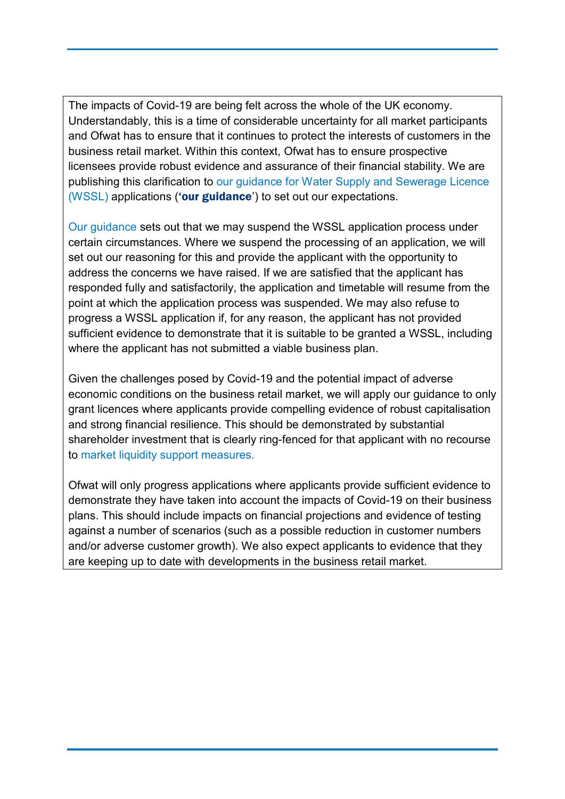The impacts of Covid-19 are being felt across the whole of the UK economy. Understandably, this is a time of considerable uncertainty for all market participants and Ofwat has to ensure that it continues to protect the interests of customers in the business retail market. Within this context, Ofwat has to ensure prospective licensees provide robust evidence and assurance of their financial stability. We are publishing this clarification to [our guidance for Water Supply and Sewerage Licence](https://www.ofwat.gov.uk/wp-content/uploads/2018/05/App-guidance-for-WSSL-v3-1.pdf)  [\(WSSL\)](https://www.ofwat.gov.uk/wp-content/uploads/2018/05/App-guidance-for-WSSL-v3-1.pdf) applications ('our guidance') to set out our expectations.

[Our guidance](https://www.ofwat.gov.uk/wp-content/uploads/2018/05/App-guidance-for-WSSL-v3-1.pdf) sets out that we may suspend the WSSL application process under certain circumstances. Where we suspend the processing of an application, we will set out our reasoning for this and provide the applicant with the opportunity to address the concerns we have raised. If we are satisfied that the applicant has responded fully and satisfactorily, the application and timetable will resume from the point at which the application process was suspended. We may also refuse to progress a WSSL application if, for any reason, the applicant has not provided sufficient evidence to demonstrate that it is suitable to be granted a WSSL, including where the applicant has not submitted a viable business plan.

Given the challenges posed by Covid-19 and the potential impact of adverse economic conditions on the business retail market, we will apply our guidance to only grant licences where applicants provide compelling evidence of robust capitalisation and strong financial resilience. This should be demonstrated by substantial shareholder investment that is clearly ring-fenced for that applicant with no recourse to [market liquidity support measures.](https://www.ofwat.gov.uk/wp-content/uploads/2020/04/Proposals-to-address-liquidity-challenges-and-increases-in-bad-debt-%E2%80%93-decision-document.pdf) 

Ofwat will only progress applications where applicants provide sufficient evidence to demonstrate they have taken into account the impacts of Covid-19 on their business plans. This should include impacts on financial projections and evidence of testing against a number of scenarios (such as a possible reduction in customer numbers and/or adverse customer growth). We also expect applicants to evidence that they are keeping up to date with developments in the business retail market.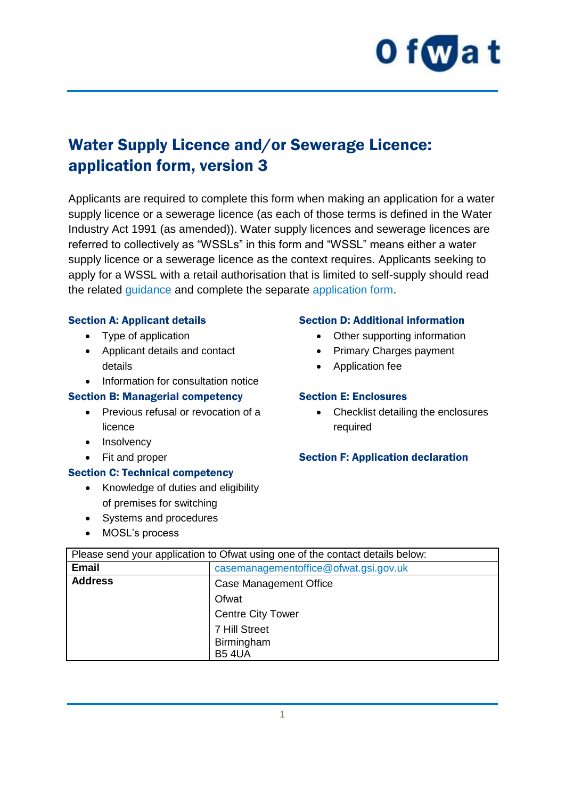

# Water Supply Licence and/or Sewerage Licence: application form, version 3

Applicants are required to complete this form when making an application for a water supply licence or a sewerage licence (as each of those terms is defined in the Water Industry Act 1991 (as amended)). Water supply licences and sewerage licences are referred to collectively as "WSSLs" in this form and "WSSL" means either a water supply licence or a sewerage licence as the context requires. Applicants seeking to apply for a WSSL with a retail authorisation that is limited to self-supply should read the related [guidance](https://www.ofwat.gov.uk/publication/application-guidance-water-supply-sewerage-licence-wssl-limited-self-supply/) and complete the separate [application form.](https://www.ofwat.gov.uk/publication/water-supply-licence-sewerage-licence-limited-self-supply-application-form-version-1/)

#### Section A: Applicant details

- Type of application
- Applicant details and contact details
- Information for consultation notice

#### Section B: Managerial competency

- Previous refusal or revocation of a licence
- Insolvency
- Fit and proper

#### Section C: Technical competency

- Knowledge of duties and eligibility of premises for switching
- Systems and procedures
- MOSL's process

#### Section D: Additional information

- Other supporting information
- Primary Charges payment
- Application fee

#### Section E: Enclosures

• Checklist detailing the enclosures required

#### Section F: Application declaration

| Please send your application to Ofwat using one of the contact details below: |                                       |  |
|-------------------------------------------------------------------------------|---------------------------------------|--|
| <b>Email</b>                                                                  | casemanagementoffice@ofwat.gsi.gov.uk |  |
| <b>Address</b><br>Case Management Office                                      |                                       |  |
|                                                                               | Ofwat                                 |  |
|                                                                               | <b>Centre City Tower</b>              |  |
|                                                                               | 7 Hill Street                         |  |
|                                                                               | Birmingham                            |  |
|                                                                               | <b>B54UA</b>                          |  |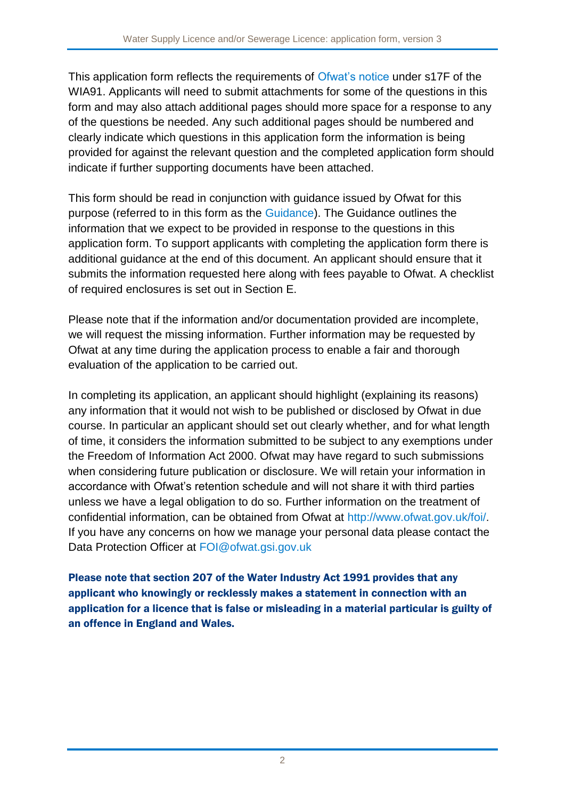This application form reflects the requirements of [Ofwat's notice](https://www.ofwat.gov.uk/publication/licence-application-notice/) under s17F of the WIA91. Applicants will need to submit attachments for some of the questions in this form and may also attach additional pages should more space for a response to any of the questions be needed. Any such additional pages should be numbered and clearly indicate which questions in this application form the information is being provided for against the relevant question and the completed application form should indicate if further supporting documents have been attached.

This form should be read in conjunction with guidance issued by Ofwat for this purpose (referred to in this form as the [Guidance\)](https://www.ofwat.gov.uk/publication/application-guidance-water-supply-sewerage-licence-wssl/). The Guidance outlines the information that we expect to be provided in response to the questions in this application form. To support applicants with completing the application form there is additional guidance at the end of this document. An applicant should ensure that it submits the information requested here along with fees payable to Ofwat. A checklist of required enclosures is set out in Section E.

Please note that if the information and/or documentation provided are incomplete, we will request the missing information. Further information may be requested by Ofwat at any time during the application process to enable a fair and thorough evaluation of the application to be carried out.

In completing its application, an applicant should highlight (explaining its reasons) any information that it would not wish to be published or disclosed by Ofwat in due course. In particular an applicant should set out clearly whether, and for what length of time, it considers the information submitted to be subject to any exemptions under the Freedom of Information Act 2000. Ofwat may have regard to such submissions when considering future publication or disclosure. We will retain your information in accordance with Ofwat's retention schedule and will not share it with third parties unless we have a legal obligation to do so. Further information on the treatment of confidential information, can be obtained from Ofwat at<http://www.ofwat.gov.uk/foi/>. If you have any concerns on how we manage your personal data please contact the Data Protection Officer at [FOI@ofwat.gsi.gov.uk](mailto:FOI@ofwat.gsi.gov.uk)

Please note that section 207 of the Water Industry Act 1991 provides that any applicant who knowingly or recklessly makes a statement in connection with an application for a licence that is false or misleading in a material particular is guilty of an offence in England and Wales.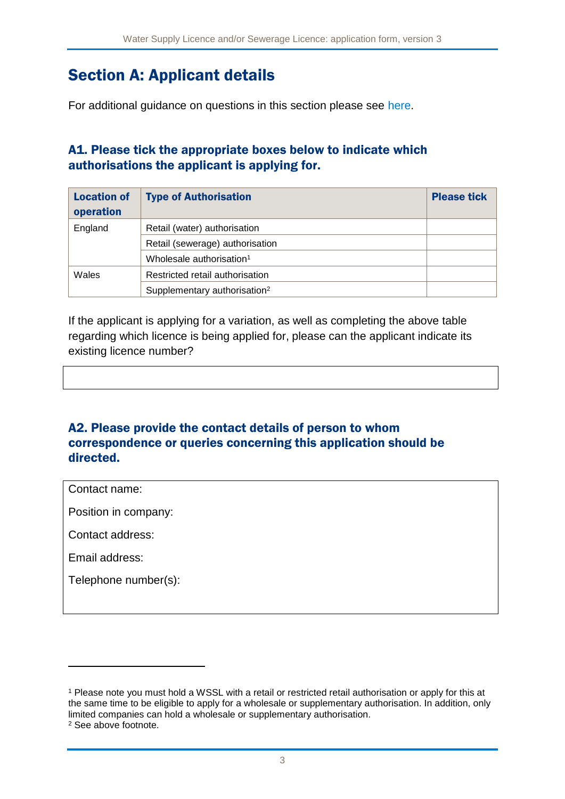# Section A: Applicant details

For additional guidance on questions in this section please see [here.](#page-16-0)

### A1. Please tick the appropriate boxes below to indicate which authorisations the applicant is applying for.

| <b>Location of</b><br>operation          | <b>Type of Authorisation</b>             | <b>Please tick</b> |
|------------------------------------------|------------------------------------------|--------------------|
| England                                  | Retail (water) authorisation             |                    |
|                                          | Retail (sewerage) authorisation          |                    |
|                                          | Wholesale authorisation <sup>1</sup>     |                    |
| Restricted retail authorisation<br>Wales |                                          |                    |
|                                          | Supplementary authorisation <sup>2</sup> |                    |

If the applicant is applying for a variation, as well as completing the above table regarding which licence is being applied for, please can the applicant indicate its existing licence number?

#### A2. Please provide the contact details of person to whom correspondence or queries concerning this application should be directed.

Contact name:

Position in company:

Contact address:

Email address:

1

Telephone number(s):

<sup>1</sup> Please note you must hold a WSSL with a retail or restricted retail authorisation or apply for this at the same time to be eligible to apply for a wholesale or supplementary authorisation. In addition, only limited companies can hold a wholesale or supplementary authorisation. <sup>2</sup> See above footnote.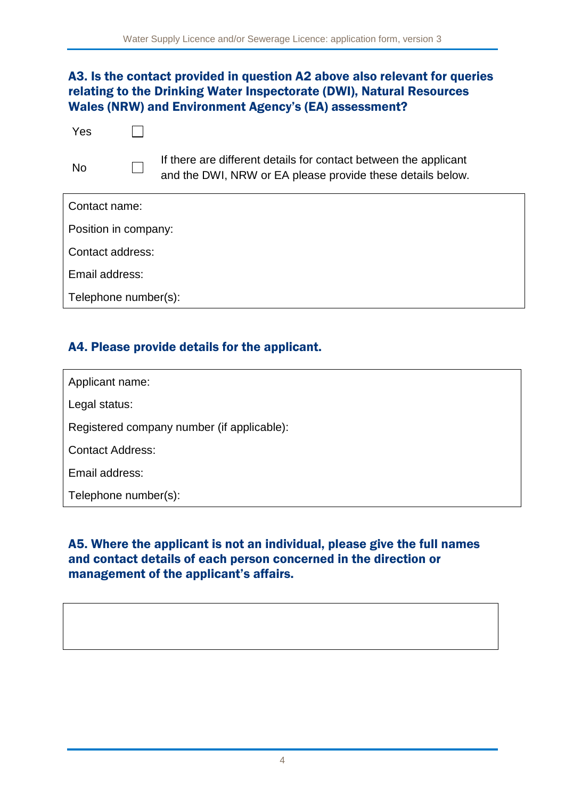#### A3. Is the contact provided in question A2 above also relevant for queries relating to the Drinking Water Inspectorate (DWI), Natural Resources Wales (NRW) and Environment Agency's (EA) assessment?

| Yes                  |                                                                                                                                |
|----------------------|--------------------------------------------------------------------------------------------------------------------------------|
| N <sub>o</sub>       | If there are different details for contact between the applicant<br>and the DWI, NRW or EA please provide these details below. |
| Contact name:        |                                                                                                                                |
| Position in company: |                                                                                                                                |
| Contact address:     |                                                                                                                                |
| Email address:       |                                                                                                                                |
| Telephone number(s): |                                                                                                                                |
|                      |                                                                                                                                |

#### A4. Please provide details for the applicant.

Applicant name:

Legal status:

Registered company number (if applicable):

Contact Address:

Email address:

Telephone number(s):

#### A5. Where the applicant is not an individual, please give the full names and contact details of each person concerned in the direction or management of the applicant's affairs.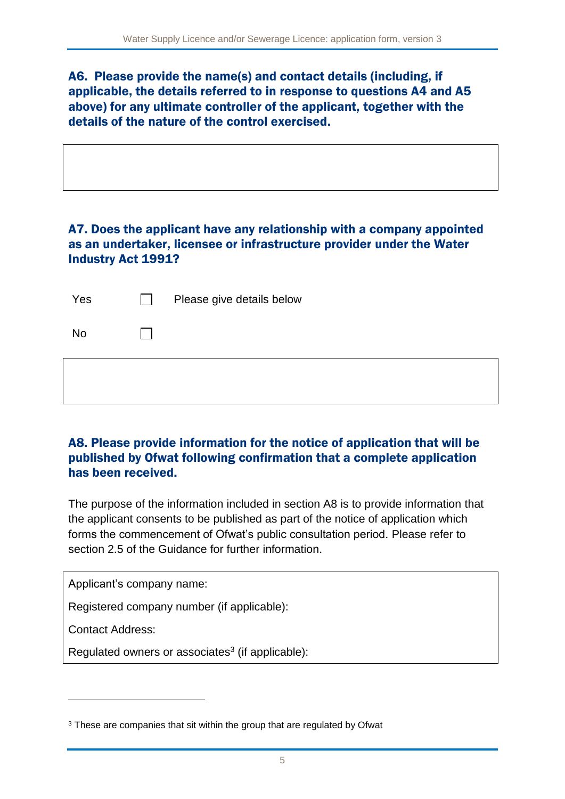A6. Please provide the name(s) and contact details (including, if applicable, the details referred to in response to questions A4 and A5 above) for any ultimate controller of the applicant, together with the details of the nature of the control exercised.

## A7. Does the applicant have any relationship with a company appointed as an undertaker, licensee or infrastructure provider under the Water Industry Act 1991?

| Yes       | Please give details below |
|-----------|---------------------------|
| <b>No</b> |                           |
|           |                           |

#### A8. Please provide information for the notice of application that will be published by Ofwat following confirmation that a complete application has been received.

The purpose of the information included in section A8 is to provide information that the applicant consents to be published as part of the notice of application which forms the commencement of Ofwat's public consultation period. Please refer to section 2.5 of the Guidance for further information.

Applicant's company name:

Registered company number (if applicable):

Contact Address:

1

Regulated owners or associates $3$  (if applicable):

<sup>&</sup>lt;sup>3</sup> These are companies that sit within the group that are regulated by Ofwat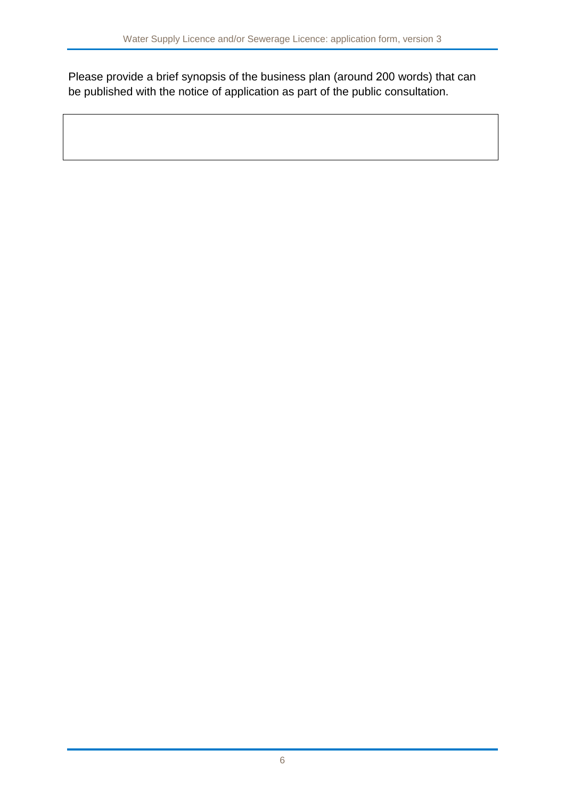Please provide a brief synopsis of the business plan (around 200 words) that can be published with the notice of application as part of the public consultation.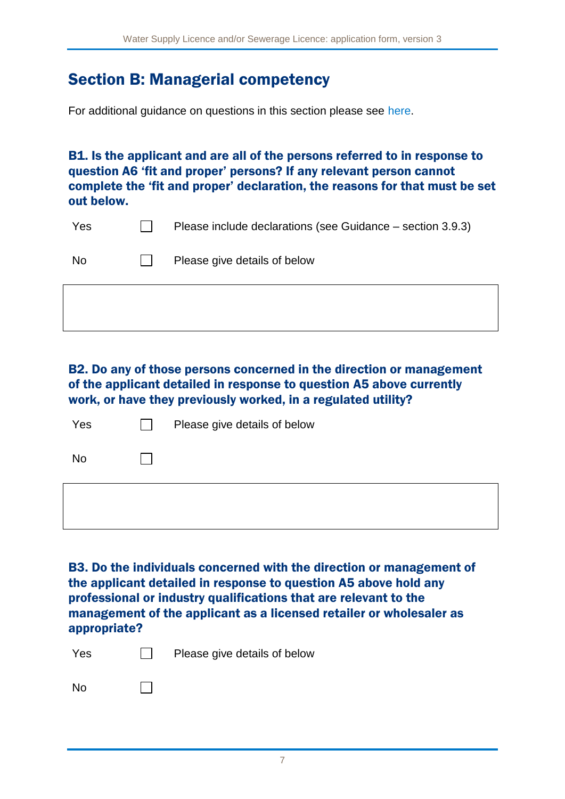## Section B: Managerial competency

For additional guidance on questions in this section please see [here.](#page-19-0)

B1. Is the applicant and are all of the persons referred to in response to question A6 'fit and proper' persons? If any relevant person cannot complete the 'fit and proper' declaration, the reasons for that must be set out below.

| Yes | Please include declarations (see Guidance – section 3.9.3) |
|-----|------------------------------------------------------------|
| No. | Please give details of below                               |

B2. Do any of those persons concerned in the direction or management of the applicant detailed in response to question A5 above currently work, or have they previously worked, in a regulated utility?

| Yes       | $\mathbf{I}$ | Please give details of below |
|-----------|--------------|------------------------------|
| <b>No</b> |              |                              |
|           |              |                              |

B3. Do the individuals concerned with the direction or management of the applicant detailed in response to question A5 above hold any professional or industry qualifications that are relevant to the management of the applicant as a licensed retailer or wholesaler as appropriate?

| Yes       | $\mathbf{L}$ | Please give details of below |
|-----------|--------------|------------------------------|
| <b>No</b> | $\mathbf{I}$ |                              |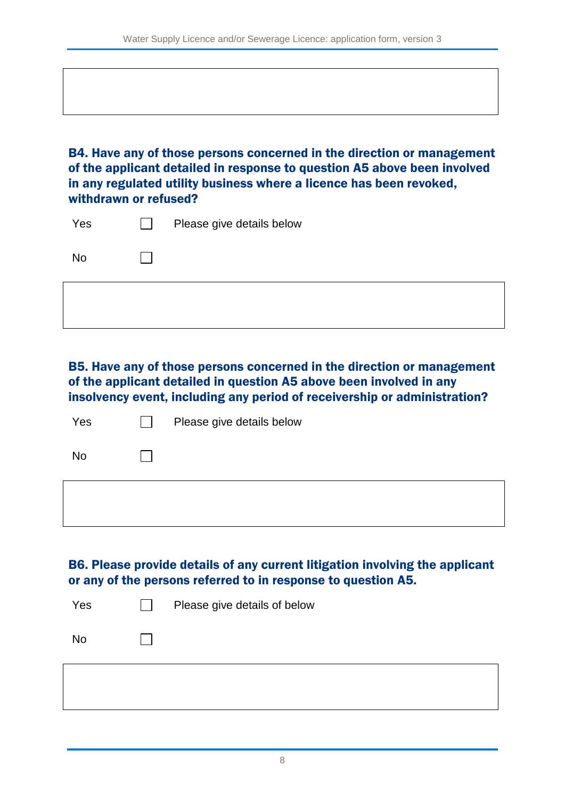B4. Have any of those persons concerned in the direction or management of the applicant detailed in response to question A5 above been involved in any regulated utility business where a licence has been revoked, withdrawn or refused?

| Yes       | Please give details below |
|-----------|---------------------------|
| <b>No</b> |                           |

B5. Have any of those persons concerned in the direction or management of the applicant detailed in question A5 above been involved in any insolvency event, including any period of receivership or administration?

| Yes       | Please give details below |
|-----------|---------------------------|
| <b>No</b> |                           |
|           |                           |

B6. Please provide details of any current litigation involving the applicant or any of the persons referred to in response to question A5.

| Yes | Please give details of below |
|-----|------------------------------|
| No  |                              |
|     |                              |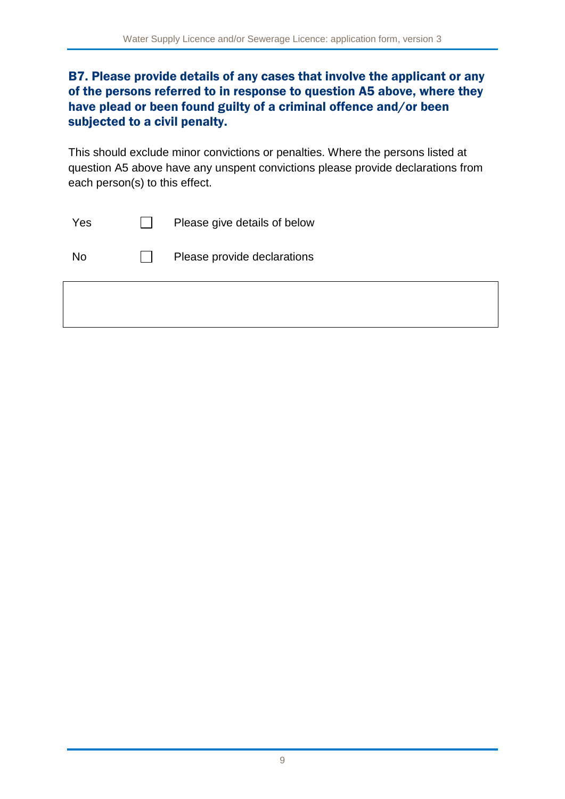### B7. Please provide details of any cases that involve the applicant or any of the persons referred to in response to question A5 above, where they have plead or been found guilty of a criminal offence and/or been subjected to a civil penalty.

This should exclude minor convictions or penalties. Where the persons listed at question A5 above have any unspent convictions please provide declarations from each person(s) to this effect.

| Please provide declarations<br><b>No</b> | Yes | Please give details of below |
|------------------------------------------|-----|------------------------------|
|                                          |     |                              |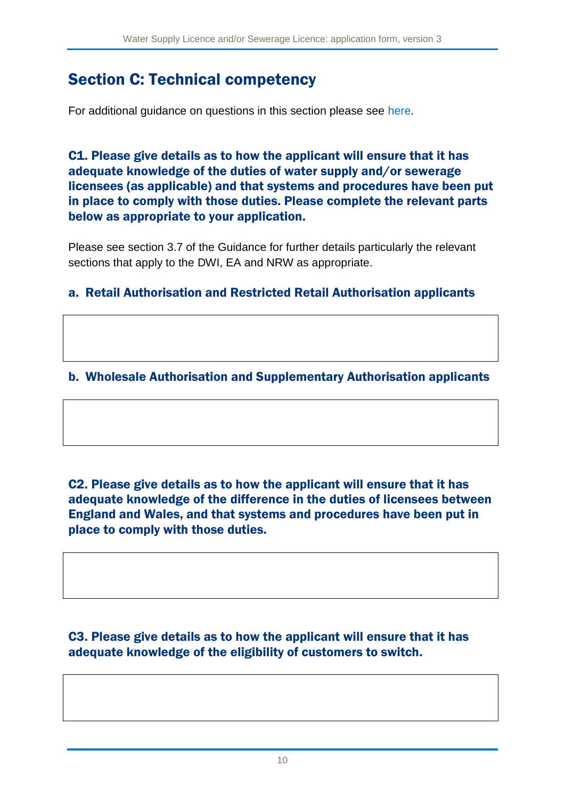# Section C: Technical competency

For additional guidance on questions in this section please see [here.](#page-21-0)

C1. Please give details as to how the applicant will ensure that it has adequate knowledge of the duties of water supply and/or sewerage licensees (as applicable) and that systems and procedures have been put in place to comply with those duties. Please complete the relevant parts below as appropriate to your application.

Please see section 3.7 of the Guidance for further details particularly the relevant sections that apply to the DWI, EA and NRW as appropriate.

#### a. Retail Authorisation and Restricted Retail Authorisation applicants

## b. Wholesale Authorisation and Supplementary Authorisation applicants

C2. Please give details as to how the applicant will ensure that it has adequate knowledge of the difference in the duties of licensees between England and Wales, and that systems and procedures have been put in place to comply with those duties.

C3. Please give details as to how the applicant will ensure that it has adequate knowledge of the eligibility of customers to switch.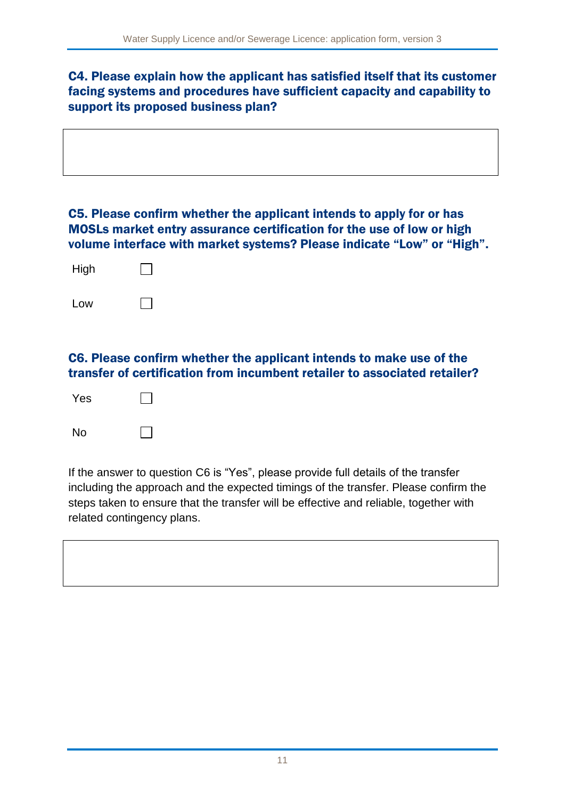### C4. Please explain how the applicant has satisfied itself that its customer facing systems and procedures have sufficient capacity and capability to support its proposed business plan?

#### C5. Please confirm whether the applicant intends to apply for or has MOSLs market entry assurance certification for the use of low or high volume interface with market systems? Please indicate "Low" or "High".

| High |  |
|------|--|
| Low  |  |

### C6. Please confirm whether the applicant intends to make use of the transfer of certification from incumbent retailer to associated retailer?

| Yes |  |
|-----|--|
| No  |  |

If the answer to question C6 is "Yes", please provide full details of the transfer including the approach and the expected timings of the transfer. Please confirm the steps taken to ensure that the transfer will be effective and reliable, together with related contingency plans.

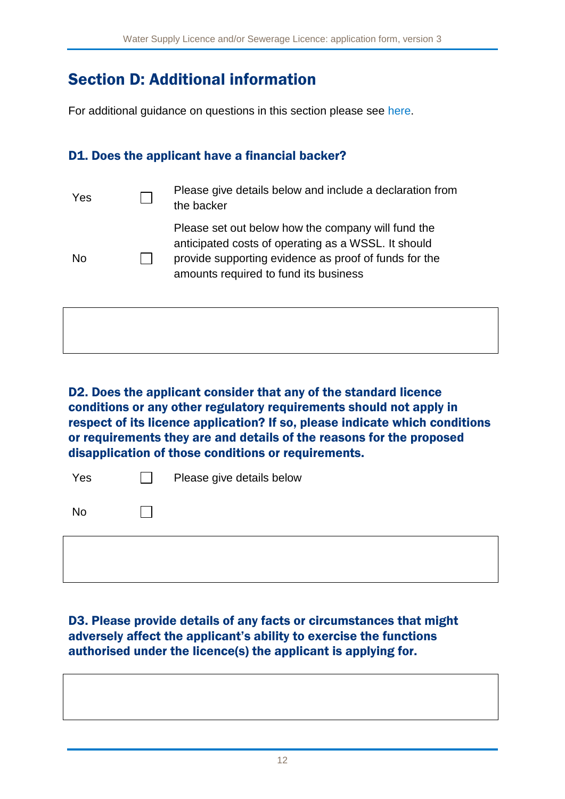# Section D: Additional information

For additional guidance on questions in this section please see [here.](#page-23-0)

## D1. Does the applicant have a financial backer?

| Yes | Please give details below and include a declaration from<br>the backer                                                                                                                                      |
|-----|-------------------------------------------------------------------------------------------------------------------------------------------------------------------------------------------------------------|
| N٥  | Please set out below how the company will fund the<br>anticipated costs of operating as a WSSL. It should<br>provide supporting evidence as proof of funds for the<br>amounts required to fund its business |
|     |                                                                                                                                                                                                             |

D2. Does the applicant consider that any of the standard licence conditions or any other regulatory requirements should not apply in respect of its licence application? If so, please indicate which conditions or requirements they are and details of the reasons for the proposed disapplication of those conditions or requirements.

| Yes       | Please give details below |
|-----------|---------------------------|
| <b>No</b> |                           |
|           |                           |

### D3. Please provide details of any facts or circumstances that might adversely affect the applicant's ability to exercise the functions authorised under the licence(s) the applicant is applying for.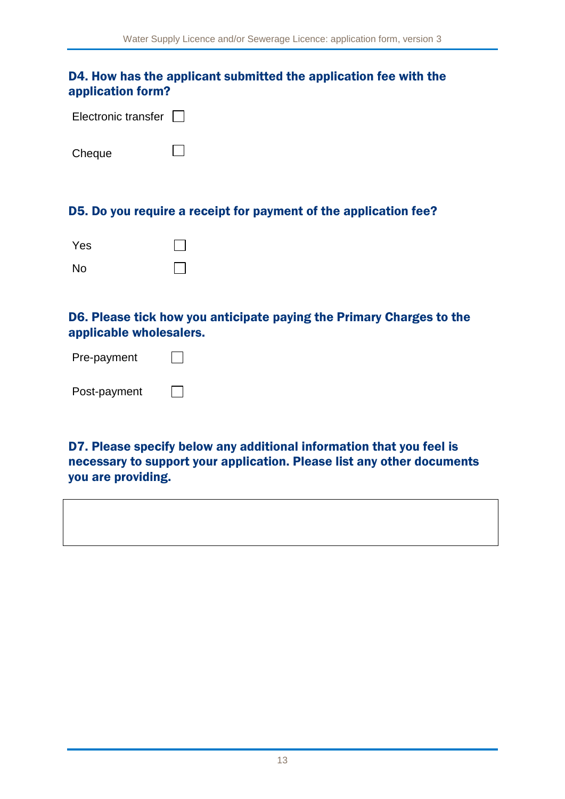#### D4. How has the applicant submitted the application fee with the application form?

| Electronic transfer $\Box$ |  |
|----------------------------|--|
|                            |  |

 $\Box$ 

**Cheque** 

#### D5. Do you require a receipt for payment of the application fee?

| Yes       |  |
|-----------|--|
| <b>No</b> |  |

#### D6. Please tick how you anticipate paying the Primary Charges to the applicable wholesalers.

| Pre-payment  |  |
|--------------|--|
| Post-payment |  |

D7. Please specify below any additional information that you feel is necessary to support your application. Please list any other documents you are providing.

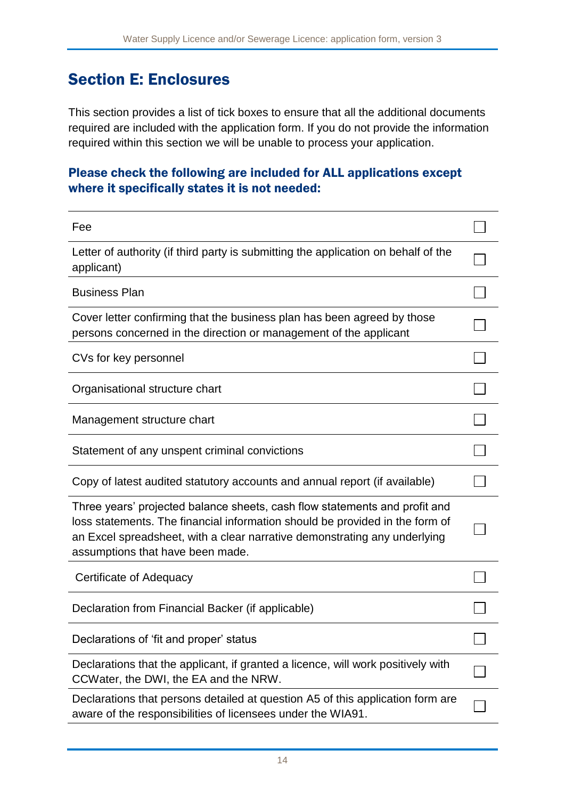## Section E: Enclosures

This section provides a list of tick boxes to ensure that all the additional documents required are included with the application form. If you do not provide the information required within this section we will be unable to process your application.

### Please check the following are included for ALL applications except where it specifically states it is not needed:

| Fee                                                                                                                                                                                                                                                                         |  |
|-----------------------------------------------------------------------------------------------------------------------------------------------------------------------------------------------------------------------------------------------------------------------------|--|
| Letter of authority (if third party is submitting the application on behalf of the<br>applicant)                                                                                                                                                                            |  |
| <b>Business Plan</b>                                                                                                                                                                                                                                                        |  |
| Cover letter confirming that the business plan has been agreed by those<br>persons concerned in the direction or management of the applicant                                                                                                                                |  |
| CVs for key personnel                                                                                                                                                                                                                                                       |  |
| Organisational structure chart                                                                                                                                                                                                                                              |  |
| Management structure chart                                                                                                                                                                                                                                                  |  |
| Statement of any unspent criminal convictions                                                                                                                                                                                                                               |  |
| Copy of latest audited statutory accounts and annual report (if available)                                                                                                                                                                                                  |  |
| Three years' projected balance sheets, cash flow statements and profit and<br>loss statements. The financial information should be provided in the form of<br>an Excel spreadsheet, with a clear narrative demonstrating any underlying<br>assumptions that have been made. |  |
| Certificate of Adequacy                                                                                                                                                                                                                                                     |  |
| Declaration from Financial Backer (if applicable)                                                                                                                                                                                                                           |  |
| Declarations of 'fit and proper' status                                                                                                                                                                                                                                     |  |
| Declarations that the applicant, if granted a licence, will work positively with<br>CCWater, the DWI, the EA and the NRW.                                                                                                                                                   |  |
| Declarations that persons detailed at question A5 of this application form are<br>aware of the responsibilities of licensees under the WIA91.                                                                                                                               |  |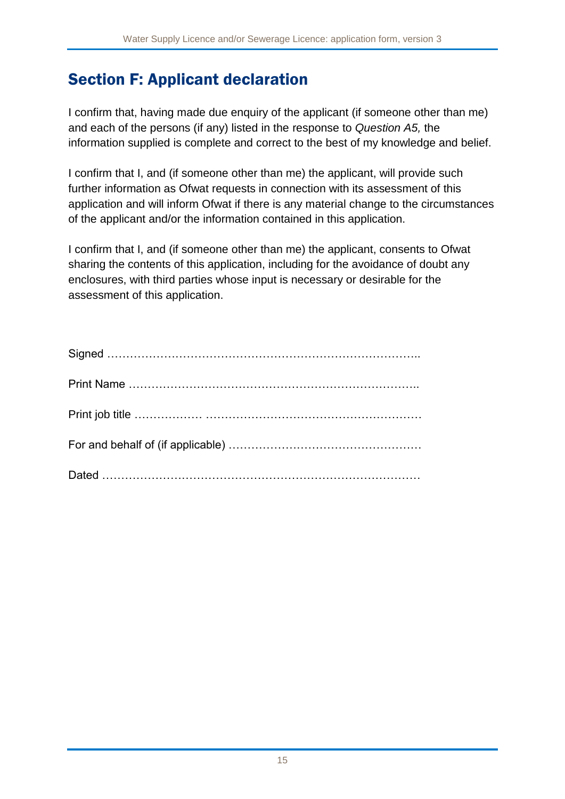# Section F: Applicant declaration

I confirm that, having made due enquiry of the applicant (if someone other than me) and each of the persons (if any) listed in the response to *Question A5,* the information supplied is complete and correct to the best of my knowledge and belief.

I confirm that I, and (if someone other than me) the applicant, will provide such further information as Ofwat requests in connection with its assessment of this application and will inform Ofwat if there is any material change to the circumstances of the applicant and/or the information contained in this application.

I confirm that I, and (if someone other than me) the applicant, consents to Ofwat sharing the contents of this application, including for the avoidance of doubt any enclosures, with third parties whose input is necessary or desirable for the assessment of this application.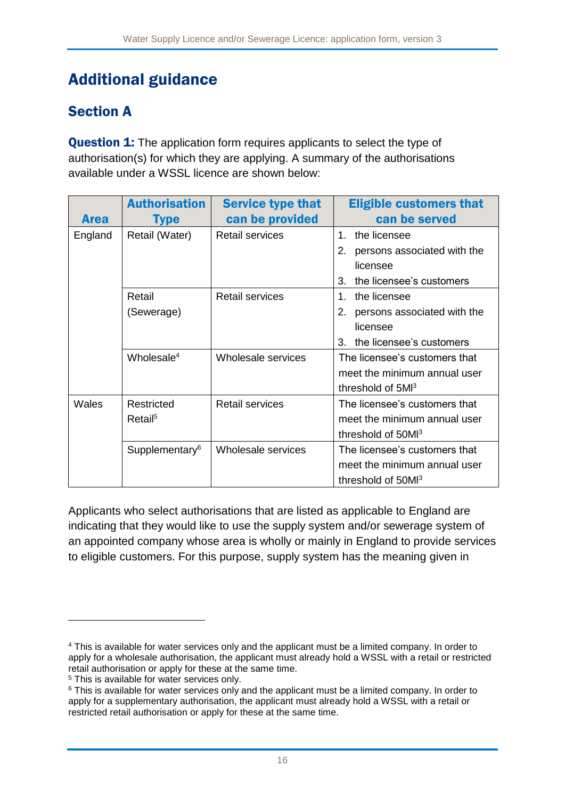# Additional guidance

## <span id="page-16-0"></span>Section A

**Question 1:** The application form requires applicants to select the type of authorisation(s) for which they are applying. A summary of the authorisations available under a WSSL licence are shown below:

| <b>Area</b> | <b>Authorisation</b><br><b>Type</b> | <b>Service type that</b><br>can be provided | <b>Eligible customers that</b><br>can be served               |
|-------------|-------------------------------------|---------------------------------------------|---------------------------------------------------------------|
| England     | Retail (Water)                      | <b>Retail services</b>                      | $1 \quad$<br>the licensee                                     |
|             |                                     |                                             | 2.<br>persons associated with the<br>licensee                 |
|             |                                     |                                             | 3.<br>the licensee's customers                                |
|             | Retail                              | <b>Retail services</b>                      | the licensee<br>1.                                            |
|             | (Sewerage)                          |                                             | 2.<br>persons associated with the<br>licensee                 |
|             |                                     |                                             | the licensee's customers<br>3.                                |
|             | Wholesale <sup>4</sup>              | Wholesale services                          | The licensee's customers that<br>meet the minimum annual user |
|             |                                     |                                             | threshold of 5MI <sup>3</sup>                                 |
| Wales       | Restricted                          | <b>Retail services</b>                      | The licensee's customers that                                 |
|             | Retail <sup>5</sup>                 |                                             | meet the minimum annual user                                  |
|             |                                     |                                             | threshold of 50Ml <sup>3</sup>                                |
|             | Supplementary <sup>6</sup>          | Wholesale services                          | The licensee's customers that                                 |
|             |                                     |                                             | meet the minimum annual user                                  |
|             |                                     |                                             | threshold of 50Ml <sup>3</sup>                                |

Applicants who select authorisations that are listed as applicable to England are indicating that they would like to use the supply system and/or sewerage system of an appointed company whose area is wholly or mainly in England to provide services to eligible customers. For this purpose, supply system has the meaning given in

1

<sup>4</sup> This is available for water services only and the applicant must be a limited company. In order to apply for a wholesale authorisation, the applicant must already hold a WSSL with a retail or restricted retail authorisation or apply for these at the same time.

<sup>5</sup> This is available for water services only.

<sup>&</sup>lt;sup>6</sup> This is available for water services only and the applicant must be a limited company. In order to apply for a supplementary authorisation, the applicant must already hold a WSSL with a retail or restricted retail authorisation or apply for these at the same time.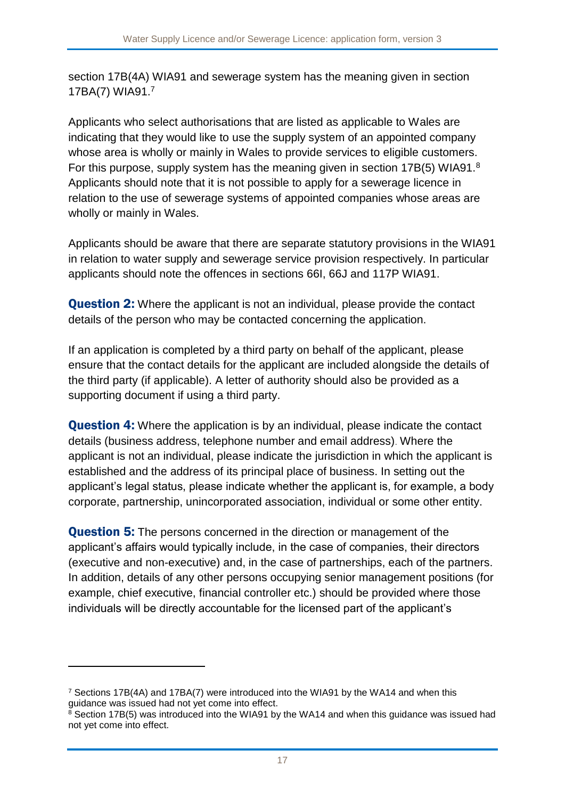section 17B(4A) WIA91 and sewerage system has the meaning given in section 17BA(7) WIA91.<sup>7</sup>

Applicants who select authorisations that are listed as applicable to Wales are indicating that they would like to use the supply system of an appointed company whose area is wholly or mainly in Wales to provide services to eligible customers. For this purpose, supply system has the meaning given in section 17B(5) WIA91.<sup>8</sup> Applicants should note that it is not possible to apply for a sewerage licence in relation to the use of sewerage systems of appointed companies whose areas are wholly or mainly in Wales.

Applicants should be aware that there are separate statutory provisions in the WIA91 in relation to water supply and sewerage service provision respectively. In particular applicants should note the offences in sections 66I, 66J and 117P WIA91.

**Question 2:** Where the applicant is not an individual, please provide the contact details of the person who may be contacted concerning the application.

If an application is completed by a third party on behalf of the applicant, please ensure that the contact details for the applicant are included alongside the details of the third party (if applicable). A letter of authority should also be provided as a supporting document if using a third party.

**Question 4:** Where the application is by an individual, please indicate the contact details (business address, telephone number and email address). Where the applicant is not an individual, please indicate the jurisdiction in which the applicant is established and the address of its principal place of business. In setting out the applicant's legal status, please indicate whether the applicant is, for example, a body corporate, partnership, unincorporated association, individual or some other entity.

**Question 5:** The persons concerned in the direction or management of the applicant's affairs would typically include, in the case of companies, their directors (executive and non-executive) and, in the case of partnerships, each of the partners. In addition, details of any other persons occupying senior management positions (for example, chief executive, financial controller etc.) should be provided where those individuals will be directly accountable for the licensed part of the applicant's

1

<sup>7</sup> Sections 17B(4A) and 17BA(7) were introduced into the WIA91 by the WA14 and when this guidance was issued had not yet come into effect.

<sup>&</sup>lt;sup>8</sup> Section 17B(5) was introduced into the WIA91 by the WA14 and when this guidance was issued had not yet come into effect.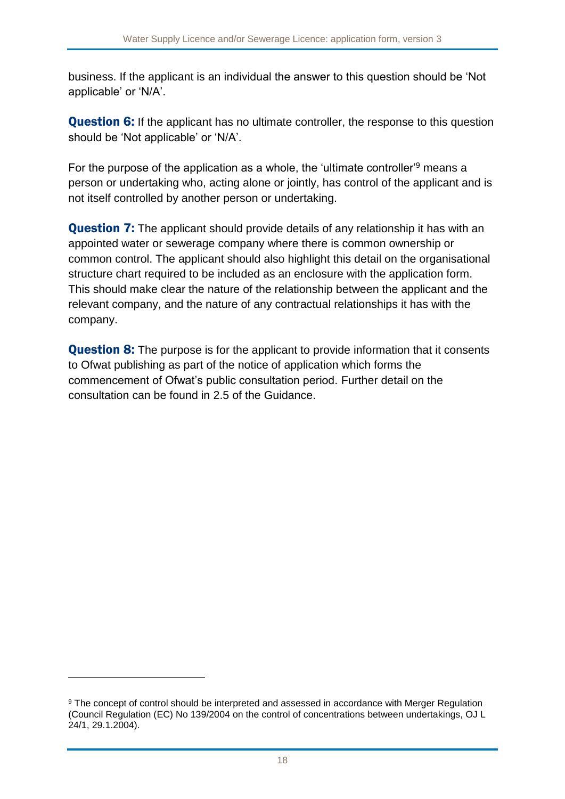business. If the applicant is an individual the answer to this question should be 'Not applicable' or 'N/A'.

**Question 6:** If the applicant has no ultimate controller, the response to this question should be 'Not applicable' or 'N/A'.

For the purpose of the application as a whole, the 'ultimate controller'<sup>9</sup> means a person or undertaking who, acting alone or jointly, has control of the applicant and is not itself controlled by another person or undertaking.

**Question 7:** The applicant should provide details of any relationship it has with an appointed water or sewerage company where there is common ownership or common control. The applicant should also highlight this detail on the organisational structure chart required to be included as an enclosure with the application form. This should make clear the nature of the relationship between the applicant and the relevant company, and the nature of any contractual relationships it has with the company.

**Question 8:** The purpose is for the applicant to provide information that it consents to Ofwat publishing as part of the notice of application which forms the commencement of Ofwat's public consultation period. Further detail on the consultation can be found in 2.5 of the Guidance.

1

<sup>9</sup> The concept of control should be interpreted and assessed in accordance with Merger Regulation (Council Regulation (EC) No 139/2004 on the control of concentrations between undertakings, OJ L 24/1, 29.1.2004).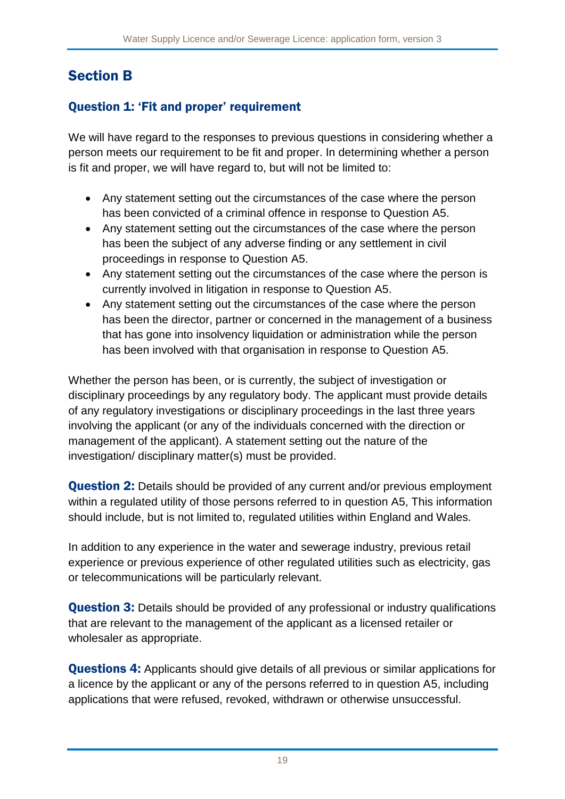## <span id="page-19-0"></span>Section B

## Question 1: 'Fit and proper' requirement

We will have regard to the responses to previous questions in considering whether a person meets our requirement to be fit and proper. In determining whether a person is fit and proper, we will have regard to, but will not be limited to:

- Any statement setting out the circumstances of the case where the person has been convicted of a criminal offence in response to Question A5.
- Any statement setting out the circumstances of the case where the person has been the subject of any adverse finding or any settlement in civil proceedings in response to Question A5.
- Any statement setting out the circumstances of the case where the person is currently involved in litigation in response to Question A5.
- Any statement setting out the circumstances of the case where the person has been the director, partner or concerned in the management of a business that has gone into insolvency liquidation or administration while the person has been involved with that organisation in response to Question A5.

Whether the person has been, or is currently, the subject of investigation or disciplinary proceedings by any regulatory body. The applicant must provide details of any regulatory investigations or disciplinary proceedings in the last three years involving the applicant (or any of the individuals concerned with the direction or management of the applicant). A statement setting out the nature of the investigation/ disciplinary matter(s) must be provided.

**Question 2:** Details should be provided of any current and/or previous employment within a regulated utility of those persons referred to in question A5, This information should include, but is not limited to, regulated utilities within England and Wales.

In addition to any experience in the water and sewerage industry, previous retail experience or previous experience of other regulated utilities such as electricity, gas or telecommunications will be particularly relevant.

**Question 3:** Details should be provided of any professional or industry qualifications that are relevant to the management of the applicant as a licensed retailer or wholesaler as appropriate.

Questions 4: Applicants should give details of all previous or similar applications for a licence by the applicant or any of the persons referred to in question A5, including applications that were refused, revoked, withdrawn or otherwise unsuccessful.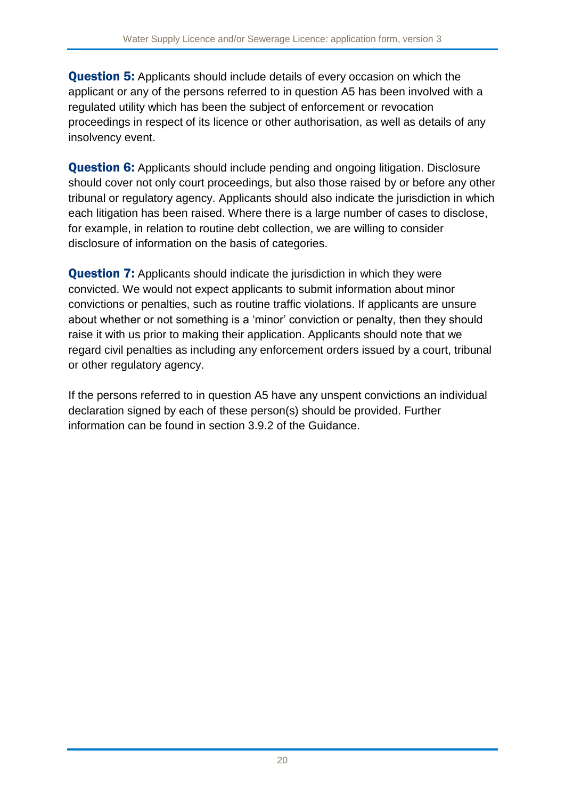**Question 5:** Applicants should include details of every occasion on which the applicant or any of the persons referred to in question A5 has been involved with a regulated utility which has been the subject of enforcement or revocation proceedings in respect of its licence or other authorisation, as well as details of any insolvency event.

**Question 6:** Applicants should include pending and ongoing litigation. Disclosure should cover not only court proceedings, but also those raised by or before any other tribunal or regulatory agency. Applicants should also indicate the jurisdiction in which each litigation has been raised. Where there is a large number of cases to disclose, for example, in relation to routine debt collection, we are willing to consider disclosure of information on the basis of categories.

**Question 7:** Applicants should indicate the jurisdiction in which they were convicted. We would not expect applicants to submit information about minor convictions or penalties, such as routine traffic violations. If applicants are unsure about whether or not something is a 'minor' conviction or penalty, then they should raise it with us prior to making their application. Applicants should note that we regard civil penalties as including any enforcement orders issued by a court, tribunal or other regulatory agency.

If the persons referred to in question A5 have any unspent convictions an individual declaration signed by each of these person(s) should be provided. Further information can be found in section 3.9.2 of the Guidance.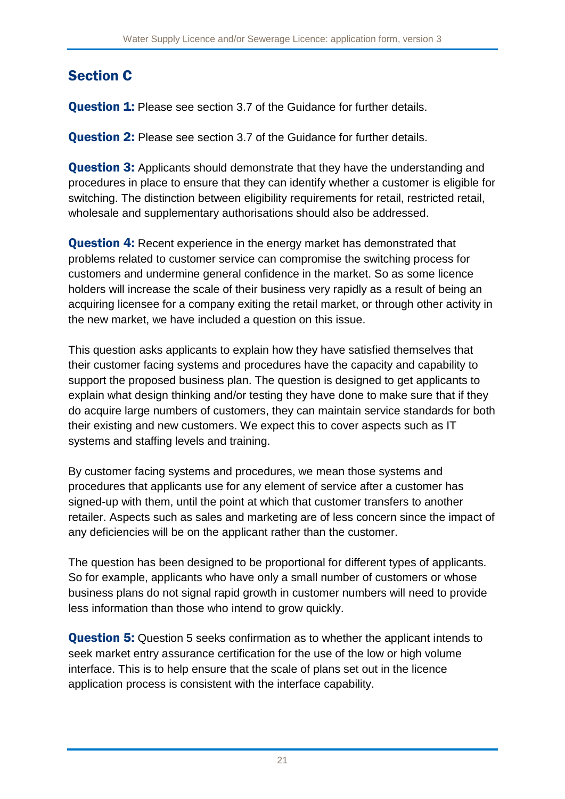# <span id="page-21-0"></span>Section C

**Question 1:** Please see section 3.7 of the Guidance for further details.

Question 2: Please see section 3.7 of the Guidance for further details.

**Question 3:** Applicants should demonstrate that they have the understanding and procedures in place to ensure that they can identify whether a customer is eligible for switching. The distinction between eligibility requirements for retail, restricted retail, wholesale and supplementary authorisations should also be addressed.

**Question 4:** Recent experience in the energy market has demonstrated that problems related to customer service can compromise the switching process for customers and undermine general confidence in the market. So as some licence holders will increase the scale of their business very rapidly as a result of being an acquiring licensee for a company exiting the retail market, or through other activity in the new market, we have included a question on this issue.

This question asks applicants to explain how they have satisfied themselves that their customer facing systems and procedures have the capacity and capability to support the proposed business plan. The question is designed to get applicants to explain what design thinking and/or testing they have done to make sure that if they do acquire large numbers of customers, they can maintain service standards for both their existing and new customers. We expect this to cover aspects such as IT systems and staffing levels and training.

By customer facing systems and procedures, we mean those systems and procedures that applicants use for any element of service after a customer has signed-up with them, until the point at which that customer transfers to another retailer. Aspects such as sales and marketing are of less concern since the impact of any deficiencies will be on the applicant rather than the customer.

The question has been designed to be proportional for different types of applicants. So for example, applicants who have only a small number of customers or whose business plans do not signal rapid growth in customer numbers will need to provide less information than those who intend to grow quickly.

**Question 5:** Question 5 seeks confirmation as to whether the applicant intends to seek market entry assurance certification for the use of the low or high volume interface. This is to help ensure that the scale of plans set out in the licence application process is consistent with the interface capability.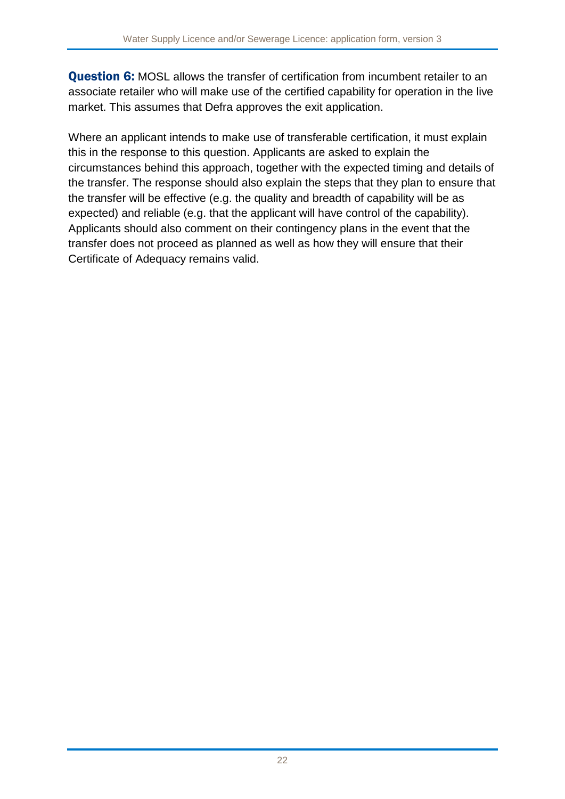Question 6: MOSL allows the transfer of certification from incumbent retailer to an associate retailer who will make use of the certified capability for operation in the live market. This assumes that Defra approves the exit application.

Where an applicant intends to make use of transferable certification, it must explain this in the response to this question. Applicants are asked to explain the circumstances behind this approach, together with the expected timing and details of the transfer. The response should also explain the steps that they plan to ensure that the transfer will be effective (e.g. the quality and breadth of capability will be as expected) and reliable (e.g. that the applicant will have control of the capability). Applicants should also comment on their contingency plans in the event that the transfer does not proceed as planned as well as how they will ensure that their Certificate of Adequacy remains valid.